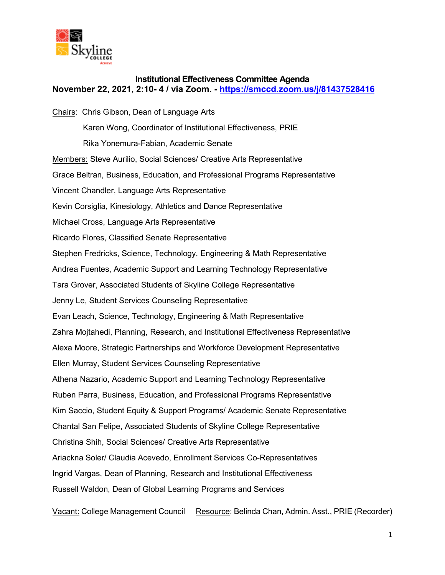

## **Institutional Effectiveness Committee Agenda November 22, 2021, 2:10- 4 / via Zoom. -<https://smccd.zoom.us/j/81437528416>**

Chairs: Chris Gibson, Dean of Language Arts Karen Wong, Coordinator of Institutional Effectiveness, PRIE Rika Yonemura-Fabian, Academic Senate Members: Steve Aurilio, Social Sciences/ Creative Arts Representative Grace Beltran, Business, Education, and Professional Programs Representative Vincent Chandler, Language Arts Representative Kevin Corsiglia, Kinesiology, Athletics and Dance Representative Michael Cross, Language Arts Representative Ricardo Flores, Classified Senate Representative Stephen Fredricks, Science, Technology, Engineering & Math Representative Andrea Fuentes, Academic Support and Learning Technology Representative Tara Grover, Associated Students of Skyline College Representative Jenny Le, Student Services Counseling Representative Evan Leach, Science, Technology, Engineering & Math Representative Zahra Mojtahedi, Planning, Research, and Institutional Effectiveness Representative Alexa Moore, Strategic Partnerships and Workforce Development Representative Ellen Murray, Student Services Counseling Representative Athena Nazario, Academic Support and Learning Technology Representative Ruben Parra, Business, Education, and Professional Programs Representative Kim Saccio, Student Equity & Support Programs/ Academic Senate Representative Chantal San Felipe, Associated Students of Skyline College Representative Christina Shih, Social Sciences/ Creative Arts Representative Ariackna Soler/ Claudia Acevedo, Enrollment Services Co-Representatives Ingrid Vargas, Dean of Planning, Research and Institutional Effectiveness Russell Waldon, Dean of Global Learning Programs and Services

Vacant: College Management Council Resource: Belinda Chan, Admin. Asst., PRIE (Recorder)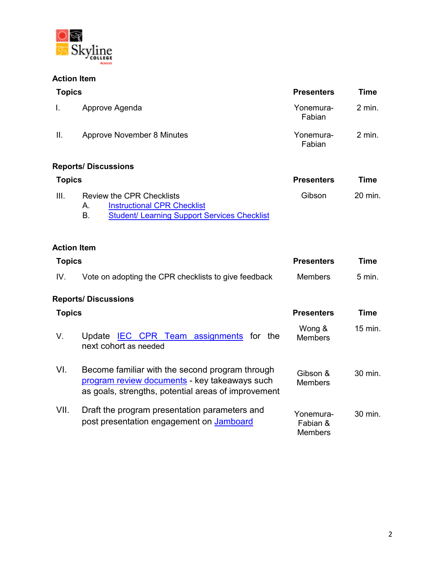

## **Action Item**

| <b>Topics</b> |                                                                                                                                                         | <b>Presenters</b>                       | <b>Time</b> |
|---------------|---------------------------------------------------------------------------------------------------------------------------------------------------------|-----------------------------------------|-------------|
| I.            | Approve Agenda                                                                                                                                          | Yonemura-<br>Fabian                     | $2$ min.    |
| ΙΙ.           | <b>Approve November 8 Minutes</b>                                                                                                                       | Yonemura-<br>Fabian                     | $2$ min.    |
|               | <b>Reports/Discussions</b>                                                                                                                              |                                         |             |
| <b>Topics</b> |                                                                                                                                                         | <b>Presenters</b>                       | <b>Time</b> |
| Ш.            | <b>Review the CPR Checklists</b><br><b>Instructional CPR Checklist</b><br>А.<br><b>B.</b><br><b>Student/ Learning Support Services Checklist</b>        | Gibson                                  | 20 min.     |
|               | <b>Action Item</b>                                                                                                                                      |                                         |             |
| <b>Topics</b> |                                                                                                                                                         | <b>Presenters</b>                       | <b>Time</b> |
| IV.           | Vote on adopting the CPR checklists to give feedback                                                                                                    | <b>Members</b>                          | $5$ min.    |
|               | <b>Reports/ Discussions</b>                                                                                                                             |                                         |             |
| <b>Topics</b> |                                                                                                                                                         | <b>Presenters</b>                       | <b>Time</b> |
| V.            | Update IEC CPR Team assignments<br>for the<br>next cohort as needed                                                                                     | Wong &<br><b>Members</b>                | 15 min.     |
| VI.           | Become familiar with the second program through<br>program review documents - key takeaways such<br>as goals, strengths, potential areas of improvement | Gibson &<br><b>Members</b>              | 30 min.     |
| VII.          | Draft the program presentation parameters and<br>post presentation engagement on Jamboard                                                               | Yonemura-<br>Fabian &<br><b>Members</b> | 30 min.     |